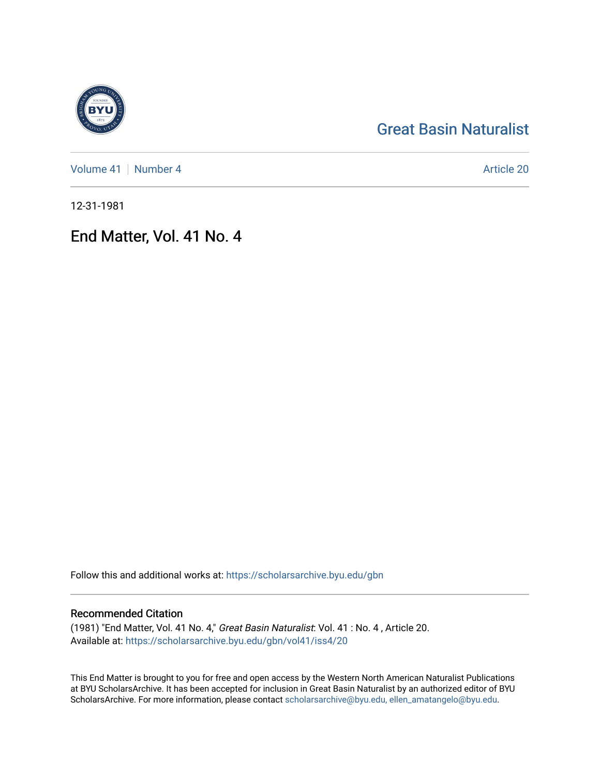# [Great Basin Naturalist](https://scholarsarchive.byu.edu/gbn)

[Volume 41](https://scholarsarchive.byu.edu/gbn/vol41) | [Number 4](https://scholarsarchive.byu.edu/gbn/vol41/iss4) Article 20

12-31-1981

# End Matter, Vol. 41 No. 4

Follow this and additional works at: [https://scholarsarchive.byu.edu/gbn](https://scholarsarchive.byu.edu/gbn?utm_source=scholarsarchive.byu.edu%2Fgbn%2Fvol41%2Fiss4%2F20&utm_medium=PDF&utm_campaign=PDFCoverPages) 

# Recommended Citation

(1981) "End Matter, Vol. 41 No. 4," Great Basin Naturalist: Vol. 41 : No. 4 , Article 20. Available at: [https://scholarsarchive.byu.edu/gbn/vol41/iss4/20](https://scholarsarchive.byu.edu/gbn/vol41/iss4/20?utm_source=scholarsarchive.byu.edu%2Fgbn%2Fvol41%2Fiss4%2F20&utm_medium=PDF&utm_campaign=PDFCoverPages) 

This End Matter is brought to you for free and open access by the Western North American Naturalist Publications at BYU ScholarsArchive. It has been accepted for inclusion in Great Basin Naturalist by an authorized editor of BYU ScholarsArchive. For more information, please contact [scholarsarchive@byu.edu, ellen\\_amatangelo@byu.edu.](mailto:scholarsarchive@byu.edu,%20ellen_amatangelo@byu.edu)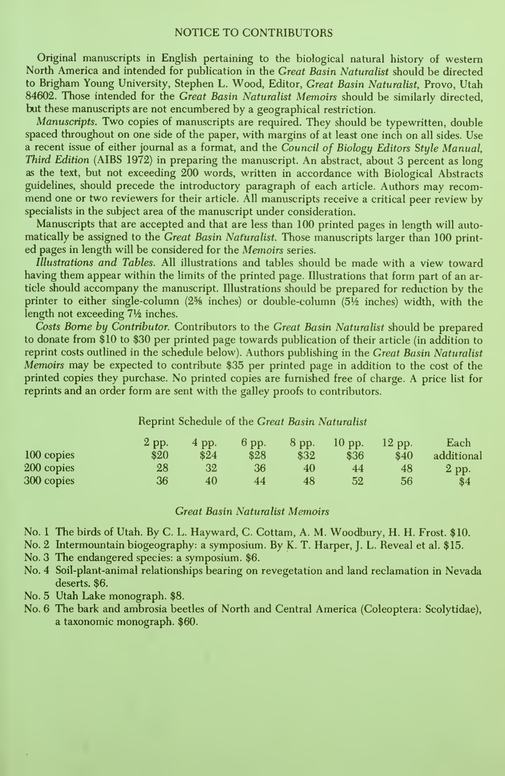## NOTICE TO CONTRIBUTORS

Original manuscripts in English pertaining to the biological natural history of western North America and intended for publication in the Great Basin Naturalist should be directed to Brigham Young University, Stephen L. Wood, Editor, Great Basin Naturalist, Provo, Utah 84602. Those intended for the Great Basin Naturalist Memoirs should be similarly directed. but these manuscripts are not encumbered by a geographical restriction.

Manuscripts. Two copies of manuscripts are required. They should be typewritten, double spaced throughout on one side of the paper, with margins of at least one inch on all sides. Use a recent issue of either journal as a format, and the Council of Biology Editors Style Manual, Third Edition (AIBS 1972) in preparing the manuscript. An abstract, about 3 percent as long as the text, but not exceeding 200 words, written in accordance with Biological Abstracts guidelines, should precede the introductory paragraph of each article. Authors may recom mend one or two reviewers for their article. All manuscripts receive <sup>a</sup> critical peer review by specialists in the subject area of the manuscript under consideration.

Manuscripts that are accepted and that are less than 100 printed pages in length will automatically be assigned to the *Great Basin Naturalist*. Those manuscripts larger than 100 printed pages in length will be considered for the Memoirs series.

Illustrations and Tables. All illustrations and tables should be made with a view toward having them appear within the limits of the printed page. Illustrations that form part of an article should accompany the manuscript. Illustrations should be prepared for reduction by the printer to either single-column (2<sup>5</sup>% inches) or double-column  $(5\frac{1}{2})$  inches) width, with the length not exceeding 71/<sub>2</sub> inches.

Costs Borne by Contributor. Contributors to the Great Basin Naturalist should be prepared to donate from \$10 to \$30 per printed page towards publication of their article (in addition to reprint costs outlined in the schedule below). Authors publishing in the Great Basin Naturalist Memoirs may be expected to contribute \$35 per printed page in addition to the cost of the printed copies they purchase. No printed copies are furnished free of charge. A price list for reprints and an order form are sent with the galley proofs to contributors.

### Reprint Schedule of the Great Basin Naturalist

|            | 2 pp. | 4 pp. | 6 pp. | 8 pp. | $10$ pp. | $12$ pp. | Each       |
|------------|-------|-------|-------|-------|----------|----------|------------|
| 100 copies | \$20  | \$24  | \$28  | \$32  | \$36     | \$40     | additional |
| 200 copies | 28    | 32    | 36    | 40    | 44       | 48       | 2 pp.      |
| 300 copies | 36    | 40    | 44    | 48    | 52       | 56       | \$4        |

#### **Great Basin Naturalist Memoirs**

- No. 1 The birds of Utah. By C. L. Hayward, C. Cottam, A. M. Woodbury, H. H. Frost. \$10.
- No. 2 Intermountain biogeography: a symposium. By K. T. Harper, J. L. Reveal et al. \$15.
- No. 3 The endangered species: a symposium. \$6.
- No. 4 Soil-plant-animal relationships bearing on revegetation and land reclamation in Nevada deserts. \$6.
- No. 5 Utah Lake monograph. \$8.
- No. 6 The bark and ambrosia beetles of North and Central America (Coleoptera: Scolytidae), a taxonomic monograph. \$60.